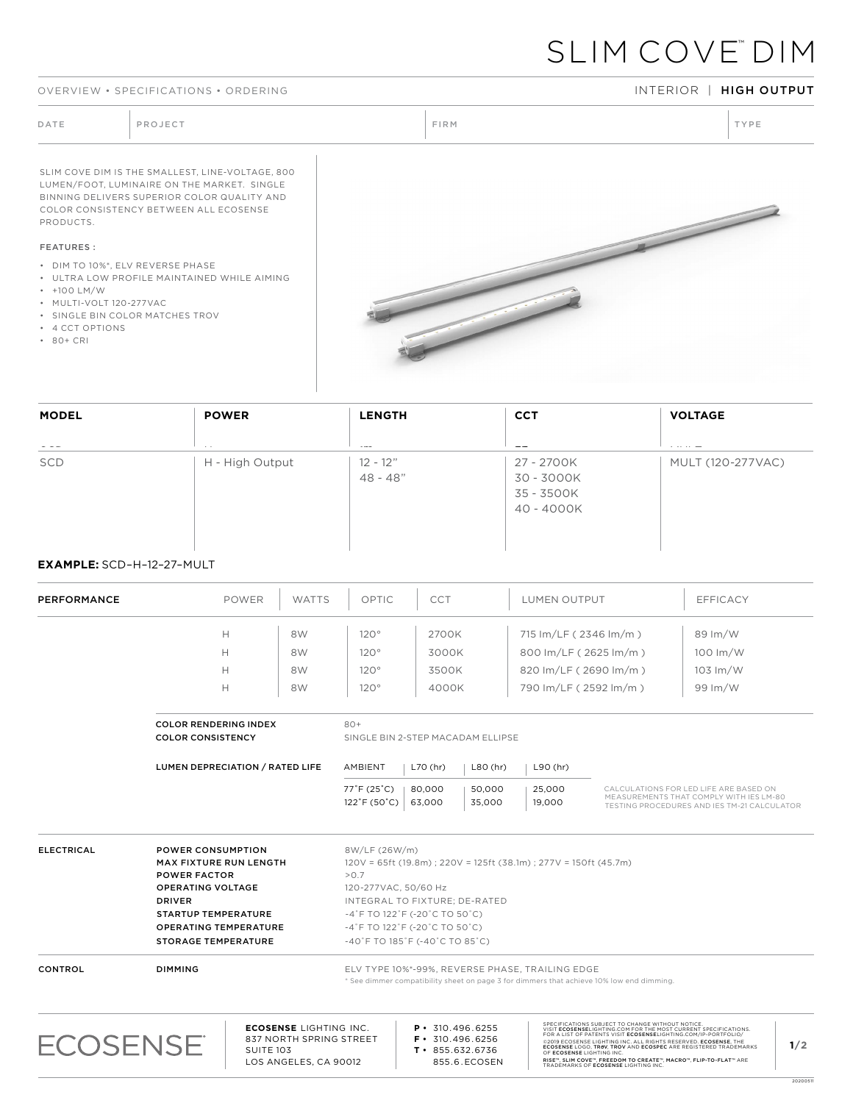### OVERVIEW • SPECIFICATIONS • ORDERING INTERIOR INTERIOR | HIGH OUTPUT

# SLIM COVE™ DIM

SLIM COVE DIM IS THE SMALLEST, LINE-VOLTAGE, 800 LUMEN/FOOT, LUMINAIRE ON THE MARKET. SINGLE BINNING DELIVERS SUPERIOR COLOR QUALITY AND COLOR CONSISTENCY BETWEEN ALL ECOSENSE PRODUCTS.

## FEATURES :

- DIM TO 10%\*, ELV REVERSE PHASE
- ULTRA LOW PROFILE MAINTAINED WHILE AIMING
- +100 LM/W
- MULTI-VOLT 120-277VAC
- SINGLE BIN COLOR MATCHES TROV
- 4 CCT OPTIONS
- 80+ CRI



| <b>MODEL</b>          | <b>POWER</b>    | <b>LENGTH</b>            | <b>CCT</b>                                           | <b>VOLTAGE</b>    |
|-----------------------|-----------------|--------------------------|------------------------------------------------------|-------------------|
| the control of<br>SCD | H - High Output | $12 - 12"$<br>$48 - 48"$ | 27 - 2700K<br>30 - 3000K<br>35 - 3500K<br>40 - 4000K | MULT (120-277VAC) |

## **EXAMPLE:** SCD–H–12–27–MULT

| PERFORMANCE       |                                                                                                                                                                                                                           | <b>POWER</b>                    | <b>WATTS</b>                                                                      | OPTIC                                            | <b>CCT</b>                                                                                                                                                                                                 |                                        | <b>LUMEN OUTPUT</b>                                                     |                                                                                                                                                                                                                                                                                                                                                                                                                                         | <b>EFFICACY</b>                                                                                                                         |     |
|-------------------|---------------------------------------------------------------------------------------------------------------------------------------------------------------------------------------------------------------------------|---------------------------------|-----------------------------------------------------------------------------------|--------------------------------------------------|------------------------------------------------------------------------------------------------------------------------------------------------------------------------------------------------------------|----------------------------------------|-------------------------------------------------------------------------|-----------------------------------------------------------------------------------------------------------------------------------------------------------------------------------------------------------------------------------------------------------------------------------------------------------------------------------------------------------------------------------------------------------------------------------------|-----------------------------------------------------------------------------------------------------------------------------------------|-----|
|                   |                                                                                                                                                                                                                           | н                               | 8W                                                                                | 120°                                             | 2700K                                                                                                                                                                                                      |                                        | 715 Im/LF (2346 Im/m)                                                   |                                                                                                                                                                                                                                                                                                                                                                                                                                         | $89 \, \text{Im}/\text{W}$                                                                                                              |     |
|                   |                                                                                                                                                                                                                           | Н                               | 8W                                                                                | $120^\circ$                                      | 3000K                                                                                                                                                                                                      |                                        | 800 lm/LF (2625 lm/m)                                                   |                                                                                                                                                                                                                                                                                                                                                                                                                                         | $100 \, \text{Im}/\text{W}$                                                                                                             |     |
|                   |                                                                                                                                                                                                                           | Н                               | 8W                                                                                | 120°                                             | 3500K                                                                                                                                                                                                      |                                        | 820 Im/LF (2690 Im/m)                                                   |                                                                                                                                                                                                                                                                                                                                                                                                                                         | 103 Im/W                                                                                                                                |     |
|                   |                                                                                                                                                                                                                           | н                               | 8W                                                                                | 120°                                             | 4000K                                                                                                                                                                                                      |                                        | 790 Im/LF (2592 lm/m)                                                   |                                                                                                                                                                                                                                                                                                                                                                                                                                         | 99 Im/W                                                                                                                                 |     |
|                   | <b>COLOR RENDERING INDEX</b><br><b>COLOR CONSISTENCY</b>                                                                                                                                                                  |                                 |                                                                                   | $80+$                                            | SINGLE BIN 2-STEP MACADAM ELLIPSE                                                                                                                                                                          |                                        |                                                                         |                                                                                                                                                                                                                                                                                                                                                                                                                                         |                                                                                                                                         |     |
|                   |                                                                                                                                                                                                                           | LUMEN DEPRECIATION / RATED LIFE |                                                                                   | AMBIENT<br>$L70$ (hr)<br>L90 (hr)<br>$L80$ (hr)  |                                                                                                                                                                                                            |                                        |                                                                         |                                                                                                                                                                                                                                                                                                                                                                                                                                         |                                                                                                                                         |     |
|                   |                                                                                                                                                                                                                           |                                 |                                                                                   | 77°F (25°C)<br>$122^{\circ}$ F (50 $^{\circ}$ C) | 80,000<br>63.000                                                                                                                                                                                           | 50,000<br>35,000                       | 25,000<br>19,000                                                        |                                                                                                                                                                                                                                                                                                                                                                                                                                         | CALCULATIONS FOR LED LIFE ARE BASED ON<br>MEASUREMENTS THAT COMPLY WITH IES LM-80<br><b>TESTING PROCEDURES AND IES TM-21 CALCULATOR</b> |     |
| <b>ELECTRICAL</b> | <b>POWER CONSUMPTION</b><br><b>MAX FIXTURE RUN LENGTH</b><br><b>POWER FACTOR</b><br><b>OPERATING VOLTAGE</b><br><b>DRIVER</b><br><b>STARTUP TEMPERATURE</b><br><b>OPERATING TEMPERATURE</b><br><b>STORAGE TEMPERATURE</b> |                                 |                                                                                   | 8W/LF (26W/m)<br>>0.7                            | 120-277VAC, 50/60 Hz<br>INTEGRAL TO FIXTURE: DE-RATED<br>$-4$ °F TO 122°F (-20°C TO 50°C)<br>$-4$ °F TO 122°F (-20°C TO 50°C)<br>$-40^{\circ}$ F TO 185 $^{\circ}$ F (-40 $^{\circ}$ C TO 85 $^{\circ}$ C) |                                        | $120V = 65ft (19.8m)$ ; $220V = 125ft (38.1m)$ ; $277V = 150ft (45.7m)$ |                                                                                                                                                                                                                                                                                                                                                                                                                                         |                                                                                                                                         |     |
| <b>CONTROL</b>    | <b>DIMMING</b>                                                                                                                                                                                                            |                                 |                                                                                   |                                                  |                                                                                                                                                                                                            |                                        | ELV TYPE 10%*-99%, REVERSE PHASE, TRAILING EDGE                         | * See dimmer compatibility sheet on page 3 for dimmers that achieve 10% low end dimming.                                                                                                                                                                                                                                                                                                                                                |                                                                                                                                         |     |
| <b>ECOSENSE</b>   |                                                                                                                                                                                                                           | <b>SUITE 103</b>                | <b>ECOSENSE LIGHTING INC.</b><br>837 NORTH SPRING STREET<br>LOS ANGELES, CA 90012 |                                                  | $P \cdot 310.496.6255$<br>$T \cdot 855.632.6736$                                                                                                                                                           | $F \cdot 310.496.6256$<br>855.6.ECOSEN | OF ECOSENSE LIGHTING INC.                                               | SPECIFICATIONS SUBJECT TO CHANGE WITHOUT NOTICE.<br>VISIT ECOSENSELIGHTING.COM FOR THE MOST CURRENT SPECIFICATIONS.<br>FOR A LIST OF PATENTS VISIT ECOSENSELIGHTING.COM/IP-PORTFOLIO/<br>@2019 ECOSENSE LIGHTING INC. ALL RIGHTS RESERVED. ECOSENSE, THE<br>ECOSENSE LOGO, TROV, TROV AND ECOSPEC ARE REGISTERED TRADEMARKS<br>RISE™, SLIM COVE™, FREEDOM TO CREATE™, MACRO™, FLIP-TO-FLAT™ ARE<br>TRADEMARKS OF ECOSENSE LIGHTING INC. |                                                                                                                                         | 1/2 |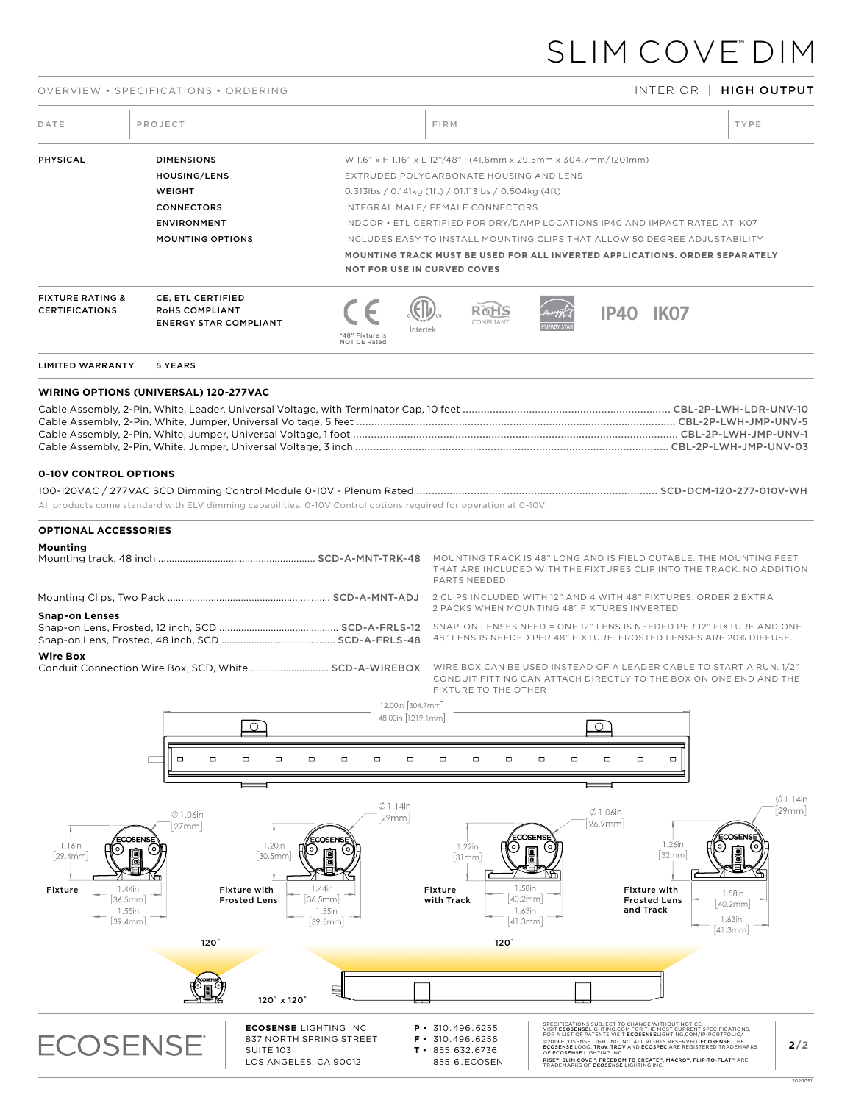# SLIM COVE™ DIM

## OVERVIEW • SPECIFICATIONS • ORDERING INTERIOR | HIGH OUTPUT

20200511

| DATE                                                                                                                                             | PROJECT                                                                                                           |                                                                                                                         |                                        | FIRM                                                                                                                                                                                                                                                                                                                                                                                                          |                                                           |                                                                                                                                                                                                                                                                           |                                           |                                                                | TYPE                                                                                                                            |                            |
|--------------------------------------------------------------------------------------------------------------------------------------------------|-------------------------------------------------------------------------------------------------------------------|-------------------------------------------------------------------------------------------------------------------------|----------------------------------------|---------------------------------------------------------------------------------------------------------------------------------------------------------------------------------------------------------------------------------------------------------------------------------------------------------------------------------------------------------------------------------------------------------------|-----------------------------------------------------------|---------------------------------------------------------------------------------------------------------------------------------------------------------------------------------------------------------------------------------------------------------------------------|-------------------------------------------|----------------------------------------------------------------|---------------------------------------------------------------------------------------------------------------------------------|----------------------------|
| PHYSICAL                                                                                                                                         | <b>DIMENSIONS</b><br>HOUSING/LENS<br>WEIGHT<br><b>CONNECTORS</b><br><b>ENVIRONMENT</b><br><b>MOUNTING OPTIONS</b> |                                                                                                                         |                                        | W 1.6" x H 1.16" x L 12"/48"; (41.6mm x 29.5mm x 304.7mm/1201mm)<br>EXTRUDED POLYCARBONATE HOUSING AND LENS<br>$0.313$ lbs / 0.141kg (1ft) / 01.113lbs / 0.504kg (4ft)<br>INTEGRAL MALE/ FEMALE CONNECTORS<br>INDOOR . ETL CERTIFIED FOR DRY/DAMP LOCATIONS IP40 AND IMPACT RATED AT IK07<br>INCLUDES EASY TO INSTALL MOUNTING CLIPS THAT ALLOW 50 DEGREE ADJUSTABILITY<br><b>NOT FOR USE IN CURVED COVES</b> |                                                           |                                                                                                                                                                                                                                                                           |                                           |                                                                | MOUNTING TRACK MUST BE USED FOR ALL INVERTED APPLICATIONS, ORDER SEPARATELY                                                     |                            |
| <b>FIXTURE RATING &amp;</b><br><b>CERTIFICATIONS</b>                                                                                             | CE, ETL CERTIFIED<br>RoHS COMPLIANT<br><b>ENERGY STAR COMPLIANT</b>                                               |                                                                                                                         | *48" Fixture is<br><b>NOT CE Rated</b> | Interte                                                                                                                                                                                                                                                                                                                                                                                                       | Roh                                                       |                                                                                                                                                                                                                                                                           | <b>IP40 IK07</b>                          |                                                                |                                                                                                                                 |                            |
| <b>LIMITED WARRANTY</b>                                                                                                                          | 5 YEARS                                                                                                           |                                                                                                                         |                                        |                                                                                                                                                                                                                                                                                                                                                                                                               |                                                           |                                                                                                                                                                                                                                                                           |                                           |                                                                |                                                                                                                                 |                            |
| <b>WIRING OPTIONS (UNIVERSAL) 120-277VAC</b>                                                                                                     |                                                                                                                   |                                                                                                                         |                                        |                                                                                                                                                                                                                                                                                                                                                                                                               |                                                           |                                                                                                                                                                                                                                                                           |                                           |                                                                |                                                                                                                                 |                            |
| <b>0-10V CONTROL OPTIONS</b><br>All products come standard with ELV dimming capabilities. 0-10V Control options required for operation at 0-10V. |                                                                                                                   |                                                                                                                         |                                        |                                                                                                                                                                                                                                                                                                                                                                                                               |                                                           |                                                                                                                                                                                                                                                                           |                                           |                                                                |                                                                                                                                 |                            |
| <b>OPTIONAL ACCESSORIES</b>                                                                                                                      |                                                                                                                   |                                                                                                                         |                                        |                                                                                                                                                                                                                                                                                                                                                                                                               |                                                           |                                                                                                                                                                                                                                                                           |                                           |                                                                |                                                                                                                                 |                            |
| Mounting                                                                                                                                         |                                                                                                                   |                                                                                                                         |                                        |                                                                                                                                                                                                                                                                                                                                                                                                               | PARTS NEEDED.                                             |                                                                                                                                                                                                                                                                           |                                           |                                                                | THAT ARE INCLUDED WITH THE FIXTURES CLIP INTO THE TRACK. NO ADDITION                                                            |                            |
|                                                                                                                                                  |                                                                                                                   |                                                                                                                         |                                        |                                                                                                                                                                                                                                                                                                                                                                                                               |                                                           | 2 PACKS WHEN MOUNTING 48" FIXTURES INVERTED                                                                                                                                                                                                                               |                                           |                                                                |                                                                                                                                 |                            |
| <b>Snap-on Lenses</b>                                                                                                                            |                                                                                                                   |                                                                                                                         |                                        |                                                                                                                                                                                                                                                                                                                                                                                                               |                                                           |                                                                                                                                                                                                                                                                           |                                           |                                                                |                                                                                                                                 |                            |
| <b>Wire Box</b>                                                                                                                                  |                                                                                                                   |                                                                                                                         |                                        |                                                                                                                                                                                                                                                                                                                                                                                                               | FIXTURE TO THE OTHER                                      |                                                                                                                                                                                                                                                                           |                                           |                                                                | CONDUIT FITTING CAN ATTACH DIRECTLY TO THE BOX ON ONE END AND THE                                                               |                            |
|                                                                                                                                                  |                                                                                                                   | ┌⊼                                                                                                                      |                                        | 12.00in [304.7mm]<br>48.00in [1219.1mm]                                                                                                                                                                                                                                                                                                                                                                       |                                                           | ┌⊼                                                                                                                                                                                                                                                                        |                                           |                                                                |                                                                                                                                 |                            |
|                                                                                                                                                  | $\Box$<br>$\Box$                                                                                                  | $\Box$<br>$\Box$<br>$\Box$                                                                                              | $\Box$<br>$\Box$                       | $\Box$<br>$\Box$                                                                                                                                                                                                                                                                                                                                                                                              | $\Box$<br>o                                               | $\Box$<br>$\Box$                                                                                                                                                                                                                                                          | $\Box$<br>$\Box$                          | $\Box$                                                         |                                                                                                                                 |                            |
| 1.16in<br>[29.4mm]<br>1.44in<br>Fixture<br>36.5mm<br>1.55in<br>[39.4mm]                                                                          | $\emptyset$ 1.06in<br>27mm<br>ECOSENSE<br>$120^{\circ}$                                                           | 1.20in<br>(၀)<br>[30.5mm]<br>1.44in<br><b>Fixture with</b><br>$ 36.5$ mm<br><b>Frosted Lens</b><br>1.55in<br>$ 39.5$ mm | $\emptyset$ 1.14in<br>29mm<br>ECOSENSI | 1.22in<br>$ 31$ mm<br>Fixture<br>with Track                                                                                                                                                                                                                                                                                                                                                                   | 1.58in<br>[40.2mm]<br>1.63in<br>$ 41.3$ mm<br>$120^\circ$ | <b>COSENSE</b>                                                                                                                                                                                                                                                            | $\emptyset$ 1.06in<br>26.9mm<br>and Track | 1.26in<br> 32mm <br><b>Fixture with</b><br><b>Frosted Lens</b> | ECOSENS<br>1.58in<br>40.2mm<br>1.63in<br>$ 41.3$ mm                                                                             | $\emptyset$ 1.14in<br>29mm |
|                                                                                                                                                  |                                                                                                                   | 120° x 120°                                                                                                             |                                        |                                                                                                                                                                                                                                                                                                                                                                                                               |                                                           |                                                                                                                                                                                                                                                                           |                                           |                                                                |                                                                                                                                 |                            |
| <b>ECOSENSE</b>                                                                                                                                  |                                                                                                                   | <b>ECOSENSE</b> LIGHTING INC.<br>837 NORTH SPRING STREET<br><b>SUITE 103</b><br>LOS ANGELES, CA 90012                   |                                        | 310.496.6255<br>р٠.<br>$F \cdot 310.496.6256$<br>$T \cdot 855.632.6736$<br>855.6.ECOSEN                                                                                                                                                                                                                                                                                                                       |                                                           | VISIT ECOSENSELIGHTING.COM FOR THE MOST CURRENT SPECIFICATIONS.<br>FOR A LIST OF PATENTS VISIT ECOSENSELIGHTING.COM/IP-PORTFOLIO/<br>OF ECOSENSE LIGHTING INC<br>RISE™, SLIM COVE™, FREEDOM TO CREATE™, MACRO™, FLIP-TO-FLAT™ ARE<br>TRADEMARKS OF ECOSENSE LIGHTING INC. |                                           | SPECIFICATIONS SUBJECT TO CHANGE WITHOUT NOTICE                | @2019 ECOSENSE LIGHTING INC. ALL RIGHTS RESERVED. ECOSENSE, THE ECOSENSE LOGO, TROV, TROV AND ECOSPEC ARE REGISTERED TRADEMARKS | 2/2                        |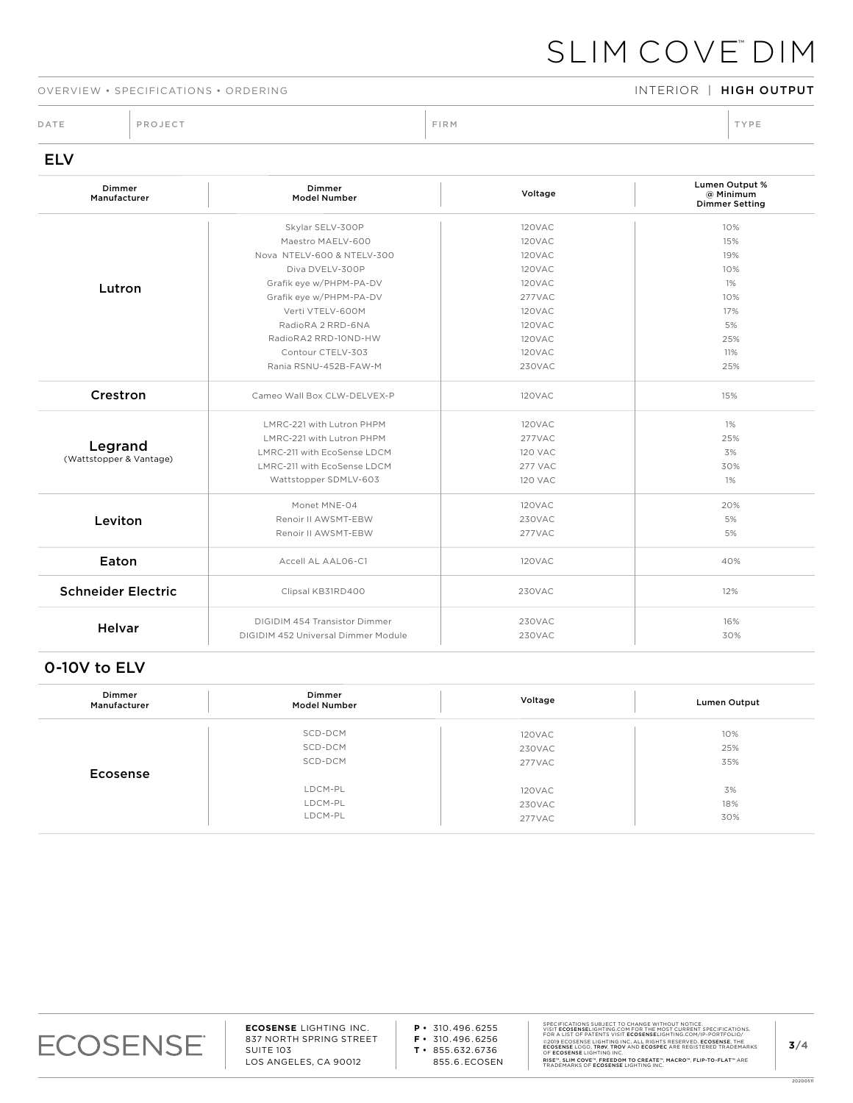# SLIM COVE™ DIM

### OVERVIEW • SPECIFICATIONS • ORDERING INTERIOR INTERIOR | HIGH OUTPUT

DATE PROJECT PROJECT PRODUCT PRODUCT PROJECT PRODUCT PRODUCT PRODUCT PRODUCT PRODUCT PRODUCT PRODUCT PRODUCT PRODUCT PRODUCT PRODUCT PRODUCT PRODUCT PRODUCT PRODUCT PRODUCT PRODUCT PRODUCT PRODUCT PRODUCT PRODUCT PRODUCT P

# ELV

| Dimmer<br>Manufacturer    | Dimmer<br><b>Model Number</b>       | Voltage        | Lumen Output %<br>@ Minimum<br><b>Dimmer Setting</b> |
|---------------------------|-------------------------------------|----------------|------------------------------------------------------|
|                           | Skylar SELV-300P                    | 120VAC         | 10%                                                  |
|                           | Maestro MAELV-600                   | 120VAC         | 15%                                                  |
|                           | Nova NTELV-600 & NTELV-300          | 120VAC         | 19%                                                  |
|                           | Diva DVELV-300P                     | 120VAC         | 10%                                                  |
| Lutron                    | Grafik eye w/PHPM-PA-DV             | 120VAC         | 1%                                                   |
|                           | Grafik eye w/PHPM-PA-DV             | 277VAC         | 10%                                                  |
|                           | Verti VTELV-600M                    | 120VAC         | 17%                                                  |
|                           | RadioRA 2 RRD-6NA                   | 120VAC         | 5%                                                   |
|                           | RadioRA2 RRD-10ND-HW                | 120VAC         | 25%                                                  |
|                           | Contour CTELV-303                   | 120VAC         | 11%                                                  |
|                           | Rania RSNU-452B-FAW-M               | 230VAC         | 25%                                                  |
| Crestron                  | Cameo Wall Box CLW-DELVEX-P         | 120VAC         | 15%                                                  |
|                           | LMRC-221 with Lutron PHPM           | 120VAC         | 1%                                                   |
|                           | LMRC-221 with Lutron PHPM           | 277VAC         | 25%                                                  |
| Legrand                   | LMRC-211 with EcoSense LDCM         | <b>120 VAC</b> | 3%                                                   |
| (Wattstopper & Vantage)   | LMRC-211 with EcoSense LDCM         | 277 VAC        | 30%                                                  |
|                           | Wattstopper SDMLV-603               | <b>120 VAC</b> | 1%                                                   |
|                           | Monet MNE-04                        | 120VAC         | 20%                                                  |
| Leviton                   | Renoir II AWSMT-EBW                 | 230VAC         | 5%                                                   |
|                           | Renoir II AWSMT-EBW                 | 277VAC         | 5%                                                   |
| Eaton                     | Accell AL AAL06-C1                  | 120VAC         | 40%                                                  |
| <b>Schneider Electric</b> | Clipsal KB31RD400                   | 230VAC         | 12%                                                  |
| <b>Helvar</b>             | DIGIDIM 454 Transistor Dimmer       | 230VAC         | 16%                                                  |
|                           | DIGIDIM 452 Universal Dimmer Module | 230VAC         | 30%                                                  |

# 0-10V to ELV

| Dimmer<br>Manufacturer | Dimmer<br><b>Model Number</b> | Voltage | Lumen Output |
|------------------------|-------------------------------|---------|--------------|
|                        | SCD-DCM                       | 120VAC  | 10%          |
|                        | SCD-DCM                       | 230VAC  | 25%          |
|                        | SCD-DCM                       | 277VAC  | 35%          |
| Ecosense               |                               |         |              |
|                        | LDCM-PL                       | 120VAC  | 3%           |
|                        | LDCM-PL                       | 230VAC  | 18%          |
|                        | LDCM-PL                       | 277VAC  | 30%          |



20200511